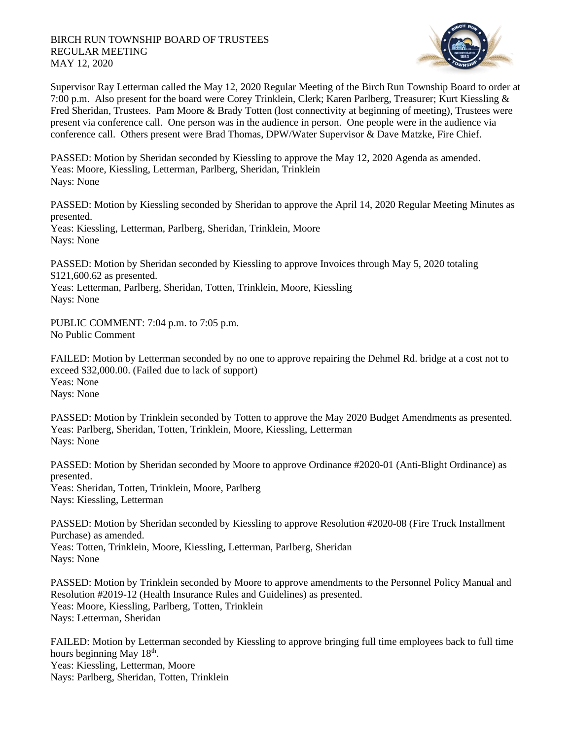

Supervisor Ray Letterman called the May 12, 2020 Regular Meeting of the Birch Run Township Board to order at 7:00 p.m. Also present for the board were Corey Trinklein, Clerk; Karen Parlberg, Treasurer; Kurt Kiessling & Fred Sheridan, Trustees. Pam Moore & Brady Totten (lost connectivity at beginning of meeting), Trustees were present via conference call. One person was in the audience in person. One people were in the audience via conference call. Others present were Brad Thomas, DPW/Water Supervisor & Dave Matzke, Fire Chief.

PASSED: Motion by Sheridan seconded by Kiessling to approve the May 12, 2020 Agenda as amended. Yeas: Moore, Kiessling, Letterman, Parlberg, Sheridan, Trinklein Nays: None

PASSED: Motion by Kiessling seconded by Sheridan to approve the April 14, 2020 Regular Meeting Minutes as presented. Yeas: Kiessling, Letterman, Parlberg, Sheridan, Trinklein, Moore Nays: None

PASSED: Motion by Sheridan seconded by Kiessling to approve Invoices through May 5, 2020 totaling \$121,600.62 as presented.

Yeas: Letterman, Parlberg, Sheridan, Totten, Trinklein, Moore, Kiessling Nays: None

PUBLIC COMMENT: 7:04 p.m. to 7:05 p.m. No Public Comment

FAILED: Motion by Letterman seconded by no one to approve repairing the Dehmel Rd. bridge at a cost not to exceed \$32,000.00. (Failed due to lack of support) Yeas: None Nays: None

PASSED: Motion by Trinklein seconded by Totten to approve the May 2020 Budget Amendments as presented. Yeas: Parlberg, Sheridan, Totten, Trinklein, Moore, Kiessling, Letterman Nays: None

PASSED: Motion by Sheridan seconded by Moore to approve Ordinance #2020-01 (Anti-Blight Ordinance) as presented. Yeas: Sheridan, Totten, Trinklein, Moore, Parlberg Nays: Kiessling, Letterman

PASSED: Motion by Sheridan seconded by Kiessling to approve Resolution #2020-08 (Fire Truck Installment Purchase) as amended. Yeas: Totten, Trinklein, Moore, Kiessling, Letterman, Parlberg, Sheridan Nays: None

PASSED: Motion by Trinklein seconded by Moore to approve amendments to the Personnel Policy Manual and Resolution #2019-12 (Health Insurance Rules and Guidelines) as presented. Yeas: Moore, Kiessling, Parlberg, Totten, Trinklein Nays: Letterman, Sheridan

FAILED: Motion by Letterman seconded by Kiessling to approve bringing full time employees back to full time hours beginning May 18<sup>th</sup>. Yeas: Kiessling, Letterman, Moore Nays: Parlberg, Sheridan, Totten, Trinklein